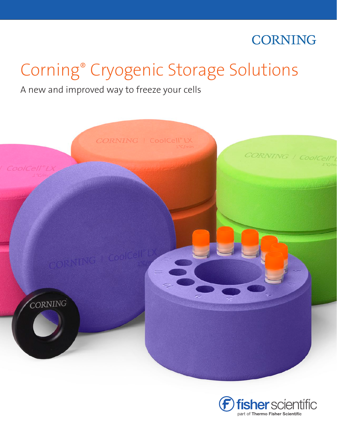# **CORNING**

# Corning® Cryogenic Storage Solutions

## A new and improved way to freeze your cells



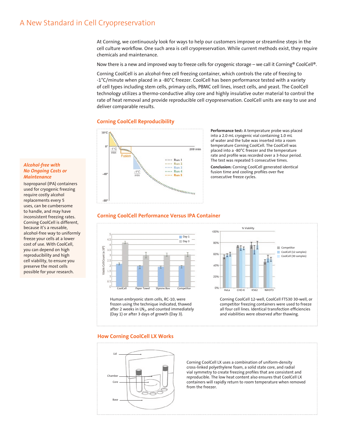### A New Standard in Cell Cryopreservation

At Corning, we continuously look for ways to help our customers improve or streamline steps in the cell culture workflow. One such area is cell cryopreservation. While current methods exist, they require chemicals and maintenance.

Now there is a new and improved way to freeze cells for cryogenic storage – we call it Corning® CoolCell®.

Corning CoolCell is an alcohol-free cell freezing container, which controls the rate of freezing to -1°C/minute when placed in a -80°C freezer. CoolCell has been performance tested with a variety of cell types including stem cells, primary cells, PBMC cell lines, insect cells, and yeast. The CoolCell technology utilizes a thermo-conductive alloy core and highly insulative outer material to control the rate of heat removal and provide reproducible cell cryopreservation. CoolCell units are easy to use and deliver comparable results.

#### **Corning CoolCell Reproducibility**



**Performance test:** A temperature probe was placed into a 2.0 mL cryogenic vial containing 1.0 mL of water and the tube was inserted into a room temperature Corning CoolCell. The CoolCell was placed into a -80°C freezer and the temperature rate and profile was recorded over a 3-hour period. The test was repeated 5 consecutive times.

**Conclusion:** Corning CoolCell generated identical fusion time and cooling profiles over five consecutive freeze cycles.

#### **Corning CoolCell Performance Versus IPA Container**



Human embryonic stem cells, RC-10, were frozen using the technique indicated, thawed after 2 weeks in  $LN<sub>2</sub>$ , and counted immediately (Day 1) or after 3 days of growth (Day 3).



Corning CoolCell 12-well, CoolCell FTS30 30-well, or competitor freezing containers were used to freeze all four cell lines. Identical transfection efficiencies and viabilities were observed after thawing.

#### **How Corning CoolCell LX Works**



Corning CoolCell LX uses a combination of uniform-density cross-linked polyethylene foam, a solid state core, and radial vial symmetry to create freezing profiles that are consistent and reproducible. The low heat content also ensures that CoolCell LX containers will rapidly return to room temperature when removed from the freezer.

#### *Alcohol-free with No Ongoing Costs or Maintenance*

Isopropanol (IPA) containers used for cryogenic freezing require costly alcohol replacements every 5 uses, can be cumbersome to handle, and may have inconsistent freezing rates. Corning CoolCell is different, because it's a reusable, alcohol-free way to uniformly freeze your cells at a lower cost of use. With CoolCell, you can depend on high reproducibility and high cell viability, to ensure you preserve the most cells possible for your research.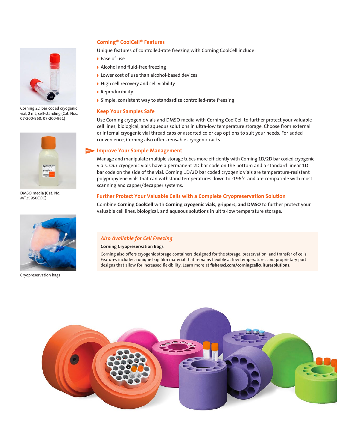

Corning 2D bar coded cryogenic vial, 2 mL, self-standing (Cat. Nos. 07-200-960, 07-200-961)



DMSO media (Cat. No. MT25950CQC)



Cryopreservation bags

#### **Corning® CoolCell® Features**

Unique features of controlled-rate freezing with Corning CoolCell include:

- ◗ Ease of use
- ◗ Alcohol and fluid-free freezing
- ◗ Lower cost of use than alcohol-based devices
- ◗ High cell recovery and cell viability
- ◗ Reproducibility
- ◗ Simple, consistent way to standardize controlled-rate freezing

#### **Keep Your Samples Safe**

Use Corning cryogenic vials and DMSO media with Corning CoolCell to further protect your valuable cell lines, biological, and aqueous solutions in ultra-low temperature storage. Choose from external or internal cryogenic vial thread caps or assorted color cap options to suit your needs. For added convenience, Corning also offers reusable cryogenic racks.

#### **Improve Your Sample Management New**

Manage and manipulate multiple storage tubes more efficiently with Corning 1D/2D bar coded cryogenic vials. Our cryogenic vials have a permanent 2D bar code on the bottom and a standard linear 1D bar code on the side of the vial. Corning 1D/2D bar coded cryogenic vials are temperature-resistant polypropylene vials that can withstand temperatures down to -196°C and are compatible with most scanning and capper/decapper systems.

#### **Further Protect Your Valuable Cells with a Complete Cryopreservation Solution**

Combine **Corning CoolCell** with **Corning cryogenic vials, grippers, and DMSO** to further protect your valuable cell lines, biological, and aqueous solutions in ultra-low temperature storage.

#### *Also Available for Cell Freezing*

#### **Corning Cryopreservation Bags**

Corning also offers cryogenic storage containers designed for the storage, preservation, and transfer of cells. Features include: a unique bag film material that remains flexible at low temperatures and proprietary port designs that allow for increased flexibility. Learn more at **fishersci.com/corningcellculturesolutions**.